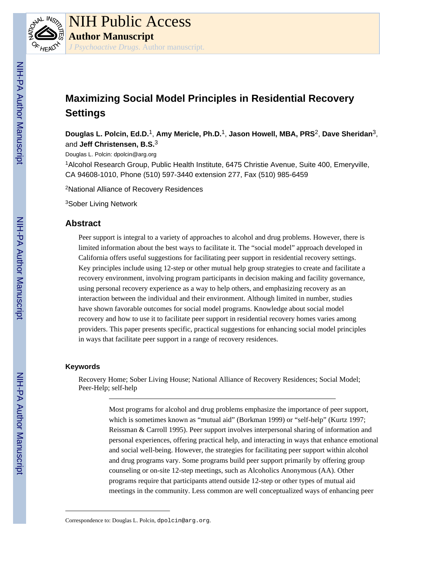

# **Maximizing Social Model Principles in Residential Recovery Settings**

**Douglas L. Polcin, Ed.D.**1, **Amy Mericle, Ph.D.**1, **Jason Howell, MBA, PRS**2, **Dave Sheridan**3, and **Jeff Christensen, B.S.**<sup>3</sup>

Douglas L. Polcin: dpolcin@arg.org

<sup>1</sup>Alcohol Research Group, Public Health Institute, 6475 Christie Avenue, Suite 400, Emeryville, CA 94608-1010, Phone (510) 597-3440 extension 277, Fax (510) 985-6459

<sup>2</sup>National Alliance of Recovery Residences

<sup>3</sup>Sober Living Network

## **Abstract**

Peer support is integral to a variety of approaches to alcohol and drug problems. However, there is limited information about the best ways to facilitate it. The "social model" approach developed in California offers useful suggestions for facilitating peer support in residential recovery settings. Key principles include using 12-step or other mutual help group strategies to create and facilitate a recovery environment, involving program participants in decision making and facility governance, using personal recovery experience as a way to help others, and emphasizing recovery as an interaction between the individual and their environment. Although limited in number, studies have shown favorable outcomes for social model programs. Knowledge about social model recovery and how to use it to facilitate peer support in residential recovery homes varies among providers. This paper presents specific, practical suggestions for enhancing social model principles in ways that facilitate peer support in a range of recovery residences.

#### **Keywords**

Recovery Home; Sober Living House; National Alliance of Recovery Residences; Social Model; Peer-Help; self-help

> Most programs for alcohol and drug problems emphasize the importance of peer support, which is sometimes known as "mutual aid" (Borkman 1999) or "self-help" (Kurtz 1997; Reissman & Carroll 1995). Peer support involves interpersonal sharing of information and personal experiences, offering practical help, and interacting in ways that enhance emotional and social well-being. However, the strategies for facilitating peer support within alcohol and drug programs vary. Some programs build peer support primarily by offering group counseling or on-site 12-step meetings, such as Alcoholics Anonymous (AA). Other programs require that participants attend outside 12-step or other types of mutual aid meetings in the community. Less common are well conceptualized ways of enhancing peer

Correspondence to: Douglas L. Polcin, dpolcin@arg.org.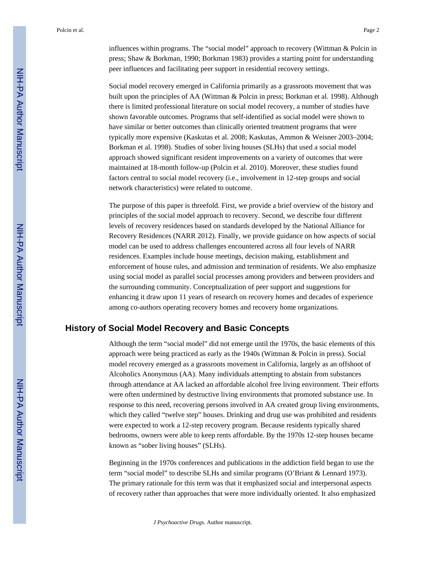influences within programs. The "social model" approach to recovery (Wittman & Polcin in press; Shaw & Borkman, 1990; Borkman 1983) provides a starting point for understanding peer influences and facilitating peer support in residential recovery settings.

Social model recovery emerged in California primarily as a grassroots movement that was built upon the principles of AA (Wittman & Polcin in press; Borkman et al. 1998). Although there is limited professional literature on social model recovery, a number of studies have shown favorable outcomes. Programs that self-identified as social model were shown to have similar or better outcomes than clinically oriented treatment programs that were typically more expensive (Kaskutas et al. 2008; Kaskutas, Ammon & Weisner 2003–2004; Borkman et al. 1998). Studies of sober living houses (SLHs) that used a social model approach showed significant resident improvements on a variety of outcomes that were maintained at 18-month follow-up (Polcin et al. 2010). Moreover, these studies found factors central to social model recovery (i.e., involvement in 12-step groups and social network characteristics) were related to outcome.

The purpose of this paper is threefold. First, we provide a brief overview of the history and principles of the social model approach to recovery. Second, we describe four different levels of recovery residences based on standards developed by the National Alliance for Recovery Residences (NARR 2012). Finally, we provide guidance on how aspects of social model can be used to address challenges encountered across all four levels of NARR residences. Examples include house meetings, decision making, establishment and enforcement of house rules, and admission and termination of residents. We also emphasize using social model as parallel social processes among providers and between providers and the surrounding community. Conceptualization of peer support and suggestions for enhancing it draw upon 11 years of research on recovery homes and decades of experience among co-authors operating recovery homes and recovery home organizations.

## **History of Social Model Recovery and Basic Concepts**

Although the term "social model" did not emerge until the 1970s, the basic elements of this approach were being practiced as early as the 1940s (Wittman & Polcin in press). Social model recovery emerged as a grassroots movement in California, largely as an offshoot of Alcoholics Anonymous (AA). Many individuals attempting to abstain from substances through attendance at AA lacked an affordable alcohol free living environment. Their efforts were often undermined by destructive living environments that promoted substance use. In response to this need, recovering persons involved in AA created group living environments, which they called "twelve step" houses. Drinking and drug use was prohibited and residents were expected to work a 12-step recovery program. Because residents typically shared bedrooms, owners were able to keep rents affordable. By the 1970s 12-step houses became known as "sober living houses" (SLHs).

Beginning in the 1970s conferences and publications in the addiction field began to use the term "social model" to describe SLHs and similar programs (O'Briant & Lennard 1973). The primary rationale for this term was that it emphasized social and interpersonal aspects of recovery rather than approaches that were more individually oriented. It also emphasized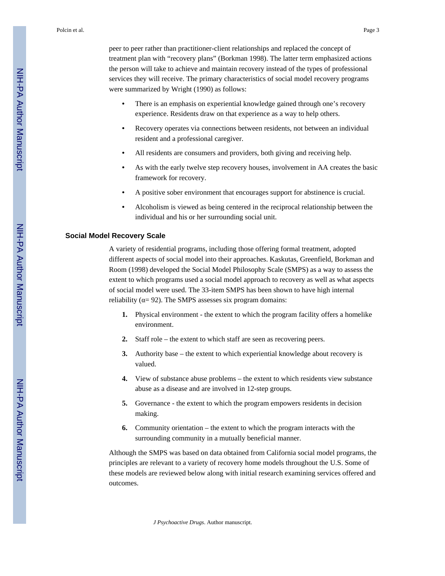peer to peer rather than practitioner-client relationships and replaced the concept of treatment plan with "recovery plans" (Borkman 1998). The latter term emphasized actions the person will take to achieve and maintain recovery instead of the types of professional services they will receive. The primary characteristics of social model recovery programs were summarized by Wright (1990) as follows:

- There is an emphasis on experiential knowledge gained through one's recovery experience. Residents draw on that experience as a way to help others.
- **•** Recovery operates via connections between residents, not between an individual resident and a professional caregiver.
- **•** All residents are consumers and providers, both giving and receiving help.
- **•** As with the early twelve step recovery houses, involvement in AA creates the basic framework for recovery.
- **•** A positive sober environment that encourages support for abstinence is crucial.
- **•** Alcoholism is viewed as being centered in the reciprocal relationship between the individual and his or her surrounding social unit.

#### **Social Model Recovery Scale**

A variety of residential programs, including those offering formal treatment, adopted different aspects of social model into their approaches. Kaskutas, Greenfield, Borkman and Room (1998) developed the Social Model Philosophy Scale (SMPS) as a way to assess the extent to which programs used a social model approach to recovery as well as what aspects of social model were used. The 33-item SMPS has been shown to have high internal reliability ( $\alpha$ = 92). The SMPS assesses six program domains:

- **1.** Physical environment the extent to which the program facility offers a homelike environment.
- **2.** Staff role the extent to which staff are seen as recovering peers.
- **3.** Authority base the extent to which experiential knowledge about recovery is valued.
- **4.** View of substance abuse problems the extent to which residents view substance abuse as a disease and are involved in 12-step groups.
- **5.** Governance the extent to which the program empowers residents in decision making.
- **6.** Community orientation the extent to which the program interacts with the surrounding community in a mutually beneficial manner.

Although the SMPS was based on data obtained from California social model programs, the principles are relevant to a variety of recovery home models throughout the U.S. Some of these models are reviewed below along with initial research examining services offered and outcomes.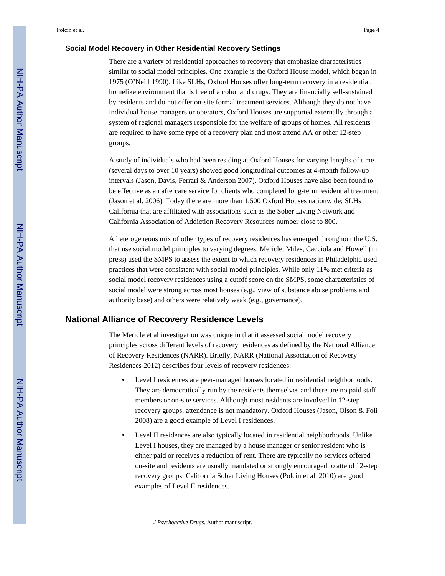## **Social Model Recovery in Other Residential Recovery Settings**

There are a variety of residential approaches to recovery that emphasize characteristics similar to social model principles. One example is the Oxford House model, which began in 1975 (O'Neill 1990). Like SLHs, Oxford Houses offer long-term recovery in a residential, homelike environment that is free of alcohol and drugs. They are financially self-sustained by residents and do not offer on-site formal treatment services. Although they do not have individual house managers or operators, Oxford Houses are supported externally through a system of regional managers responsible for the welfare of groups of homes. All residents are required to have some type of a recovery plan and most attend AA or other 12-step groups.

A study of individuals who had been residing at Oxford Houses for varying lengths of time (several days to over 10 years) showed good longitudinal outcomes at 4-month follow-up intervals (Jason, Davis, Ferrari & Anderson 2007). Oxford Houses have also been found to be effective as an aftercare service for clients who completed long-term residential treatment (Jason et al. 2006). Today there are more than 1,500 Oxford Houses nationwide; SLHs in California that are affiliated with associations such as the Sober Living Network and California Association of Addiction Recovery Resources number close to 800.

A heterogeneous mix of other types of recovery residences has emerged throughout the U.S. that use social model principles to varying degrees. Mericle, Miles, Cacciola and Howell (in press) used the SMPS to assess the extent to which recovery residences in Philadelphia used practices that were consistent with social model principles. While only 11% met criteria as social model recovery residences using a cutoff score on the SMPS, some characteristics of social model were strong across most houses (e.g., view of substance abuse problems and authority base) and others were relatively weak (e.g., governance).

## **National Alliance of Recovery Residence Levels**

The Mericle et al investigation was unique in that it assessed social model recovery principles across different levels of recovery residences as defined by the National Alliance of Recovery Residences (NARR). Briefly, NARR (National Association of Recovery Residences 2012) describes four levels of recovery residences:

- **•** Level I residences are peer-managed houses located in residential neighborhoods. They are democratically run by the residents themselves and there are no paid staff members or on-site services. Although most residents are involved in 12-step recovery groups, attendance is not mandatory. Oxford Houses (Jason, Olson & Foli 2008) are a good example of Level I residences.
- **•** Level II residences are also typically located in residential neighborhoods. Unlike Level I houses, they are managed by a house manager or senior resident who is either paid or receives a reduction of rent. There are typically no services offered on-site and residents are usually mandated or strongly encouraged to attend 12-step recovery groups. California Sober Living Houses (Polcin et al. 2010) are good examples of Level II residences.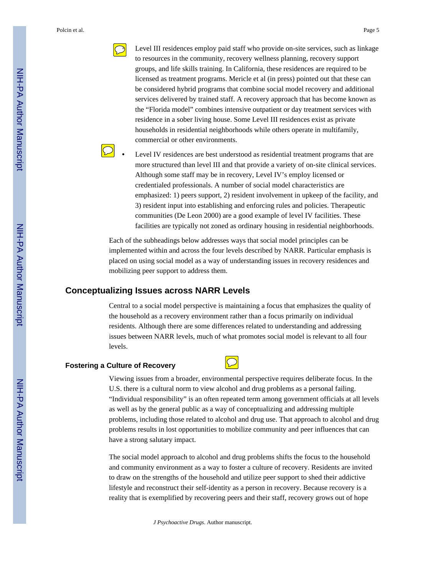- **•** Level III residences employ paid staff who provide on-site services, such as linkage to resources in the community, recovery wellness planning, recovery support groups, and life skills training. In California, these residences are required to be licensed as treatment programs. Mericle et al (in press) pointed out that these can be considered hybrid programs that combine social model recovery and additional services delivered by trained staff. A recovery approach that has become known as the "Florida model" combines intensive outpatient or day treatment services with residence in a sober living house. Some Level III residences exist as private households in residential neighborhoods while others operate in multifamily, commercial or other environments.
- Level IV residences are best understood as residential treatment programs that are more structured than level III and that provide a variety of on-site clinical services. Although some staff may be in recovery, Level IV's employ licensed or credentialed professionals. A number of social model characteristics are emphasized: 1) peers support, 2) resident involvement in upkeep of the facility, and 3) resident input into establishing and enforcing rules and policies. Therapeutic communities (De Leon 2000) are a good example of level IV facilities. These facilities are typically not zoned as ordinary housing in residential neighborhoods.

Each of the subheadings below addresses ways that social model principles can be implemented within and across the four levels described by NARR. Particular emphasis is placed on using social model as a way of understanding issues in recovery residences and mobilizing peer support to address them.

## **Conceptualizing Issues across NARR Levels**

Central to a social model perspective is maintaining a focus that emphasizes the quality of the household as a recovery environment rather than a focus primarily on individual residents. Although there are some differences related to understanding and addressing issues between NARR levels, much of what promotes social model is relevant to all four levels.

## **Fostering a Culture of Recovery**



The social model approach to alcohol and drug problems shifts the focus to the household and community environment as a way to foster a culture of recovery. Residents are invited to draw on the strengths of the household and utilize peer support to shed their addictive lifestyle and reconstruct their self-identity as a person in recovery. Because recovery is a reality that is exemplified by recovering peers and their staff, recovery grows out of hope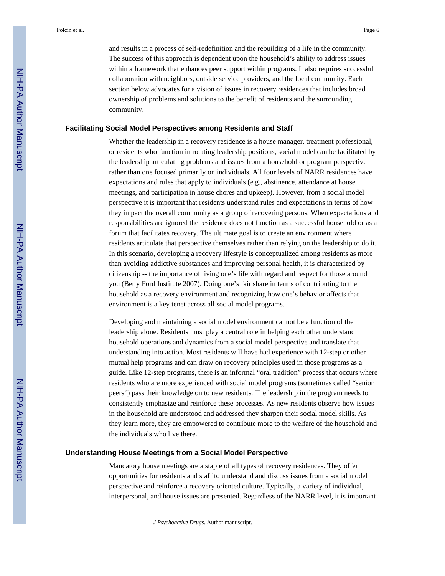and results in a process of self-redefinition and the rebuilding of a life in the community. The success of this approach is dependent upon the household's ability to address issues within a framework that enhances peer support within programs. It also requires successful collaboration with neighbors, outside service providers, and the local community. Each section below advocates for a vision of issues in recovery residences that includes broad ownership of problems and solutions to the benefit of residents and the surrounding community.

#### **Facilitating Social Model Perspectives among Residents and Staff**

Whether the leadership in a recovery residence is a house manager, treatment professional, or residents who function in rotating leadership positions, social model can be facilitated by the leadership articulating problems and issues from a household or program perspective rather than one focused primarily on individuals. All four levels of NARR residences have expectations and rules that apply to individuals (e.g., abstinence, attendance at house meetings, and participation in house chores and upkeep). However, from a social model perspective it is important that residents understand rules and expectations in terms of how they impact the overall community as a group of recovering persons. When expectations and responsibilities are ignored the residence does not function as a successful household or as a forum that facilitates recovery. The ultimate goal is to create an environment where residents articulate that perspective themselves rather than relying on the leadership to do it. In this scenario, developing a recovery lifestyle is conceptualized among residents as more than avoiding addictive substances and improving personal health, it is characterized by citizenship -- the importance of living one's life with regard and respect for those around you (Betty Ford Institute 2007). Doing one's fair share in terms of contributing to the household as a recovery environment and recognizing how one's behavior affects that environment is a key tenet across all social model programs.

Developing and maintaining a social model environment cannot be a function of the leadership alone. Residents must play a central role in helping each other understand household operations and dynamics from a social model perspective and translate that understanding into action. Most residents will have had experience with 12-step or other mutual help programs and can draw on recovery principles used in those programs as a guide. Like 12-step programs, there is an informal "oral tradition" process that occurs where residents who are more experienced with social model programs (sometimes called "senior peers") pass their knowledge on to new residents. The leadership in the program needs to consistently emphasize and reinforce these processes. As new residents observe how issues in the household are understood and addressed they sharpen their social model skills. As they learn more, they are empowered to contribute more to the welfare of the household and the individuals who live there.

#### **Understanding House Meetings from a Social Model Perspective**

Mandatory house meetings are a staple of all types of recovery residences. They offer opportunities for residents and staff to understand and discuss issues from a social model perspective and reinforce a recovery oriented culture. Typically, a variety of individual, interpersonal, and house issues are presented. Regardless of the NARR level, it is important

*J Psychoactive Drugs*. Author manuscript.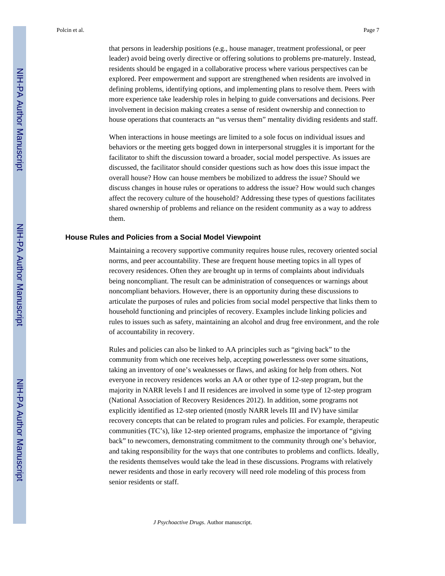that persons in leadership positions (e.g., house manager, treatment professional, or peer leader) avoid being overly directive or offering solutions to problems pre-maturely. Instead, residents should be engaged in a collaborative process where various perspectives can be explored. Peer empowerment and support are strengthened when residents are involved in defining problems, identifying options, and implementing plans to resolve them. Peers with more experience take leadership roles in helping to guide conversations and decisions. Peer involvement in decision making creates a sense of resident ownership and connection to house operations that counteracts an "us versus them" mentality dividing residents and staff.

When interactions in house meetings are limited to a sole focus on individual issues and behaviors or the meeting gets bogged down in interpersonal struggles it is important for the facilitator to shift the discussion toward a broader, social model perspective. As issues are discussed, the facilitator should consider questions such as how does this issue impact the overall house? How can house members be mobilized to address the issue? Should we discuss changes in house rules or operations to address the issue? How would such changes affect the recovery culture of the household? Addressing these types of questions facilitates shared ownership of problems and reliance on the resident community as a way to address them.

#### **House Rules and Policies from a Social Model Viewpoint**

Maintaining a recovery supportive community requires house rules, recovery oriented social norms, and peer accountability. These are frequent house meeting topics in all types of recovery residences. Often they are brought up in terms of complaints about individuals being noncompliant. The result can be administration of consequences or warnings about noncompliant behaviors. However, there is an opportunity during these discussions to articulate the purposes of rules and policies from social model perspective that links them to household functioning and principles of recovery. Examples include linking policies and rules to issues such as safety, maintaining an alcohol and drug free environment, and the role of accountability in recovery.

Rules and policies can also be linked to AA principles such as "giving back" to the community from which one receives help, accepting powerlessness over some situations, taking an inventory of one's weaknesses or flaws, and asking for help from others. Not everyone in recovery residences works an AA or other type of 12-step program, but the majority in NARR levels I and II residences are involved in some type of 12-step program (National Association of Recovery Residences 2012). In addition, some programs not explicitly identified as 12-step oriented (mostly NARR levels III and IV) have similar recovery concepts that can be related to program rules and policies. For example, therapeutic communities (TC's), like 12-step oriented programs, emphasize the importance of "giving back" to newcomers, demonstrating commitment to the community through one's behavior, and taking responsibility for the ways that one contributes to problems and conflicts. Ideally, the residents themselves would take the lead in these discussions. Programs with relatively newer residents and those in early recovery will need role modeling of this process from senior residents or staff.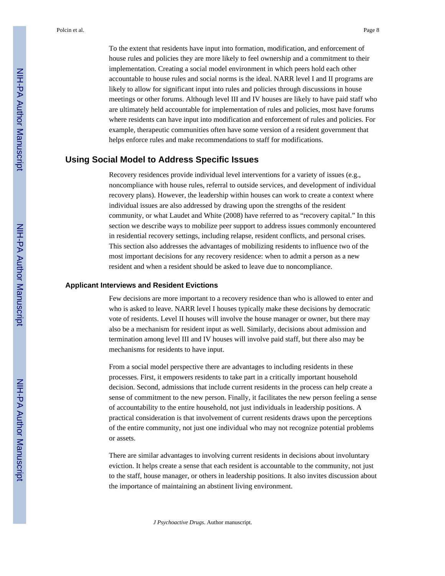To the extent that residents have input into formation, modification, and enforcement of house rules and policies they are more likely to feel ownership and a commitment to their implementation. Creating a social model environment in which peers hold each other accountable to house rules and social norms is the ideal. NARR level I and II programs are likely to allow for significant input into rules and policies through discussions in house meetings or other forums. Although level III and IV houses are likely to have paid staff who are ultimately held accountable for implementation of rules and policies, most have forums where residents can have input into modification and enforcement of rules and policies. For example, therapeutic communities often have some version of a resident government that helps enforce rules and make recommendations to staff for modifications.

## **Using Social Model to Address Specific Issues**

Recovery residences provide individual level interventions for a variety of issues (e.g., noncompliance with house rules, referral to outside services, and development of individual recovery plans). However, the leadership within houses can work to create a context where individual issues are also addressed by drawing upon the strengths of the resident community, or what Laudet and White (2008) have referred to as "recovery capital." In this section we describe ways to mobilize peer support to address issues commonly encountered in residential recovery settings, including relapse, resident conflicts, and personal crises. This section also addresses the advantages of mobilizing residents to influence two of the most important decisions for any recovery residence: when to admit a person as a new resident and when a resident should be asked to leave due to noncompliance.

#### **Applicant Interviews and Resident Evictions**

Few decisions are more important to a recovery residence than who is allowed to enter and who is asked to leave. NARR level I houses typically make these decisions by democratic vote of residents. Level II houses will involve the house manager or owner, but there may also be a mechanism for resident input as well. Similarly, decisions about admission and termination among level III and IV houses will involve paid staff, but there also may be mechanisms for residents to have input.

From a social model perspective there are advantages to including residents in these processes. First, it empowers residents to take part in a critically important household decision. Second, admissions that include current residents in the process can help create a sense of commitment to the new person. Finally, it facilitates the new person feeling a sense of accountability to the entire household, not just individuals in leadership positions. A practical consideration is that involvement of current residents draws upon the perceptions of the entire community, not just one individual who may not recognize potential problems or assets.

There are similar advantages to involving current residents in decisions about involuntary eviction. It helps create a sense that each resident is accountable to the community, not just to the staff, house manager, or others in leadership positions. It also invites discussion about the importance of maintaining an abstinent living environment.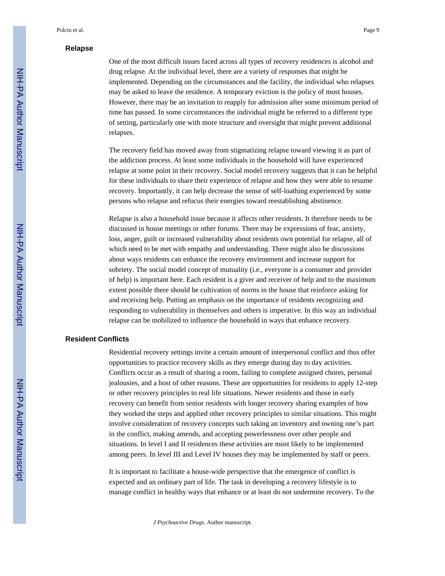## **Relapse**

One of the most difficult issues faced across all types of recovery residences is alcohol and drug relapse. At the individual level, there are a variety of responses that might be implemented. Depending on the circumstances and the facility, the individual who relapses may be asked to leave the residence. A temporary eviction is the policy of most houses. However, there may be an invitation to reapply for admission after some minimum period of time has passed. In some circumstances the individual might be referred to a different type of setting, particularly one with more structure and oversight that might prevent additional relapses.

The recovery field has moved away from stigmatizing relapse toward viewing it as part of the addiction process. At least some individuals in the household will have experienced relapse at some point in their recovery. Social model recovery suggests that it can be helpful for these individuals to share their experience of relapse and how they were able to resume recovery. Importantly, it can help decrease the sense of self-loathing experienced by some persons who relapse and refocus their energies toward reestablishing abstinence.

Relapse is also a household issue because it affects other residents. It therefore needs to be discussed in house meetings or other forums. There may be expressions of fear, anxiety, loss, anger, guilt or increased vulnerability about residents own potential for relapse, all of which need to be met with empathy and understanding. There might also be discussions about ways residents can enhance the recovery environment and increase support for sobriety. The social model concept of mutuality (i.e., everyone is a consumer and provider of help) is important here. Each resident is a giver and receiver of help and to the maximum extent possible there should be cultivation of norms in the house that reinforce asking for and receiving help. Putting an emphasis on the importance of residents recognizing and responding to vulnerability in themselves and others is imperative. In this way an individual relapse can be mobilized to influence the household in ways that enhance recovery.

#### **Resident Conflicts**

Residential recovery settings invite a certain amount of interpersonal conflict and thus offer opportunities to practice recovery skills as they emerge during day to day activities. Conflicts occur as a result of sharing a room, failing to complete assigned chores, personal jealousies, and a host of other reasons. These are opportunities for residents to apply 12-step or other recovery principles to real life situations. Newer residents and those in early recovery can benefit from senior residents with longer recovery sharing examples of how they worked the steps and applied other recovery principles to similar situations. This might involve consideration of recovery concepts such taking an inventory and owning one's part in the conflict, making amends, and accepting powerlessness over other people and situations. In level I and II residences these activities are most likely to be implemented among peers. In level III and Level IV houses they may be implemented by staff or peers.

It is important to facilitate a house-wide perspective that the emergence of conflict is expected and an ordinary part of life. The task in developing a recovery lifestyle is to manage conflict in healthy ways that enhance or at least do not undermine recovery. To the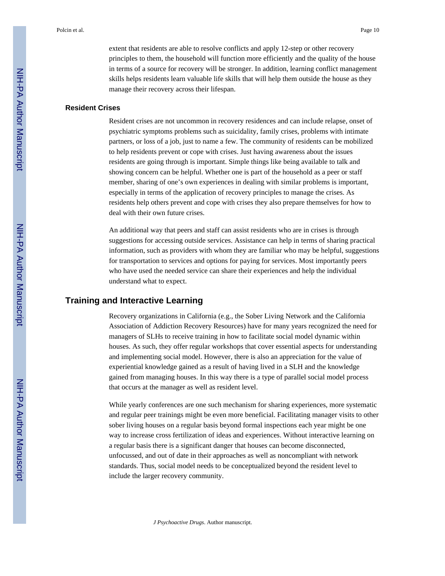extent that residents are able to resolve conflicts and apply 12-step or other recovery principles to them, the household will function more efficiently and the quality of the house in terms of a source for recovery will be stronger. In addition, learning conflict management skills helps residents learn valuable life skills that will help them outside the house as they manage their recovery across their lifespan.

#### **Resident Crises**

Resident crises are not uncommon in recovery residences and can include relapse, onset of psychiatric symptoms problems such as suicidality, family crises, problems with intimate partners, or loss of a job, just to name a few. The community of residents can be mobilized to help residents prevent or cope with crises. Just having awareness about the issues residents are going through is important. Simple things like being available to talk and showing concern can be helpful. Whether one is part of the household as a peer or staff member, sharing of one's own experiences in dealing with similar problems is important, especially in terms of the application of recovery principles to manage the crises. As residents help others prevent and cope with crises they also prepare themselves for how to deal with their own future crises.

An additional way that peers and staff can assist residents who are in crises is through suggestions for accessing outside services. Assistance can help in terms of sharing practical information, such as providers with whom they are familiar who may be helpful, suggestions for transportation to services and options for paying for services. Most importantly peers who have used the needed service can share their experiences and help the individual understand what to expect.

## **Training and Interactive Learning**

Recovery organizations in California (e.g., the Sober Living Network and the California Association of Addiction Recovery Resources) have for many years recognized the need for managers of SLHs to receive training in how to facilitate social model dynamic within houses. As such, they offer regular workshops that cover essential aspects for understanding and implementing social model. However, there is also an appreciation for the value of experiential knowledge gained as a result of having lived in a SLH and the knowledge gained from managing houses. In this way there is a type of parallel social model process that occurs at the manager as well as resident level.

While yearly conferences are one such mechanism for sharing experiences, more systematic and regular peer trainings might be even more beneficial. Facilitating manager visits to other sober living houses on a regular basis beyond formal inspections each year might be one way to increase cross fertilization of ideas and experiences. Without interactive learning on a regular basis there is a significant danger that houses can become disconnected, unfocussed, and out of date in their approaches as well as noncompliant with network standards. Thus, social model needs to be conceptualized beyond the resident level to include the larger recovery community.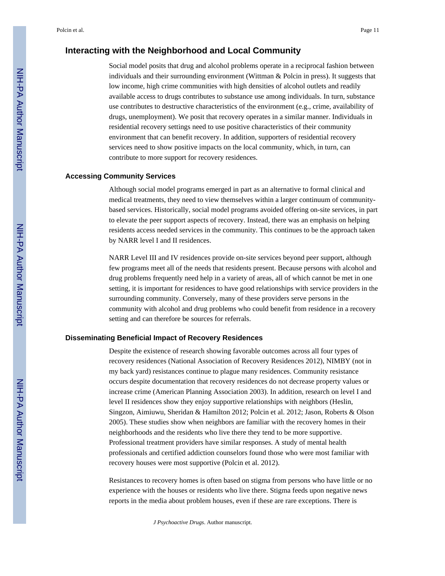## **Interacting with the Neighborhood and Local Community**

Social model posits that drug and alcohol problems operate in a reciprocal fashion between individuals and their surrounding environment (Wittman & Polcin in press). It suggests that low income, high crime communities with high densities of alcohol outlets and readily available access to drugs contributes to substance use among individuals. In turn, substance use contributes to destructive characteristics of the environment (e.g., crime, availability of drugs, unemployment). We posit that recovery operates in a similar manner. Individuals in residential recovery settings need to use positive characteristics of their community environment that can benefit recovery. In addition, supporters of residential recovery services need to show positive impacts on the local community, which, in turn, can contribute to more support for recovery residences.

#### **Accessing Community Services**

Although social model programs emerged in part as an alternative to formal clinical and medical treatments, they need to view themselves within a larger continuum of communitybased services. Historically, social model programs avoided offering on-site services, in part to elevate the peer support aspects of recovery. Instead, there was an emphasis on helping residents access needed services in the community. This continues to be the approach taken by NARR level I and II residences.

NARR Level III and IV residences provide on-site services beyond peer support, although few programs meet all of the needs that residents present. Because persons with alcohol and drug problems frequently need help in a variety of areas, all of which cannot be met in one setting, it is important for residences to have good relationships with service providers in the surrounding community. Conversely, many of these providers serve persons in the community with alcohol and drug problems who could benefit from residence in a recovery setting and can therefore be sources for referrals.

#### **Disseminating Beneficial Impact of Recovery Residences**

Despite the existence of research showing favorable outcomes across all four types of recovery residences (National Association of Recovery Residences 2012), NIMBY (not in my back yard) resistances continue to plague many residences. Community resistance occurs despite documentation that recovery residences do not decrease property values or increase crime (American Planning Association 2003). In addition, research on level I and level II residences show they enjoy supportive relationships with neighbors (Heslin, Singzon, Aimiuwu, Sheridan & Hamilton 2012; Polcin et al. 2012; Jason, Roberts & Olson 2005). These studies show when neighbors are familiar with the recovery homes in their neighborhoods and the residents who live there they tend to be more supportive. Professional treatment providers have similar responses. A study of mental health professionals and certified addiction counselors found those who were most familiar with recovery houses were most supportive (Polcin et al. 2012).

Resistances to recovery homes is often based on stigma from persons who have little or no experience with the houses or residents who live there. Stigma feeds upon negative news reports in the media about problem houses, even if these are rare exceptions. There is

*J Psychoactive Drugs*. Author manuscript.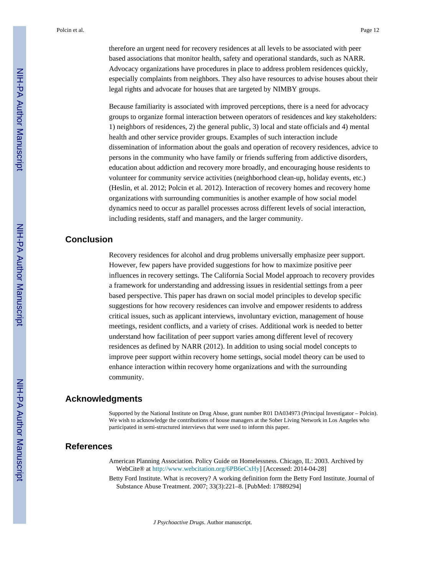therefore an urgent need for recovery residences at all levels to be associated with peer based associations that monitor health, safety and operational standards, such as NARR. Advocacy organizations have procedures in place to address problem residences quickly, especially complaints from neighbors. They also have resources to advise houses about their legal rights and advocate for houses that are targeted by NIMBY groups.

Because familiarity is associated with improved perceptions, there is a need for advocacy groups to organize formal interaction between operators of residences and key stakeholders: 1) neighbors of residences, 2) the general public, 3) local and state officials and 4) mental health and other service provider groups. Examples of such interaction include dissemination of information about the goals and operation of recovery residences, advice to persons in the community who have family or friends suffering from addictive disorders, education about addiction and recovery more broadly, and encouraging house residents to volunteer for community service activities (neighborhood clean-up, holiday events, etc.) (Heslin, et al. 2012; Polcin et al. 2012). Interaction of recovery homes and recovery home organizations with surrounding communities is another example of how social model dynamics need to occur as parallel processes across different levels of social interaction, including residents, staff and managers, and the larger community.

## **Conclusion**

Recovery residences for alcohol and drug problems universally emphasize peer support. However, few papers have provided suggestions for how to maximize positive peer influences in recovery settings. The California Social Model approach to recovery provides a framework for understanding and addressing issues in residential settings from a peer based perspective. This paper has drawn on social model principles to develop specific suggestions for how recovery residences can involve and empower residents to address critical issues, such as applicant interviews, involuntary eviction, management of house meetings, resident conflicts, and a variety of crises. Additional work is needed to better understand how facilitation of peer support varies among different level of recovery residences as defined by NARR (2012). In addition to using social model concepts to improve peer support within recovery home settings, social model theory can be used to enhance interaction within recovery home organizations and with the surrounding community.

## **Acknowledgments**

Supported by the National Institute on Drug Abuse, grant number R01 DA034973 (Principal Investigator – Polcin). We wish to acknowledge the contributions of house managers at the Sober Living Network in Los Angeles who participated in semi-structured interviews that were used to inform this paper.

## **References**

- American Planning Association. Policy Guide on Homelessness. Chicago, IL: 2003. Archived by WebCite® at <http://www.webcitation.org/6PB6eCxHy>] [Accessed: 2014-04-28]
- Betty Ford Institute. What is recovery? A working definition form the Betty Ford Institute. Journal of Substance Abuse Treatment. 2007; 33(3):221–8. [PubMed: 17889294]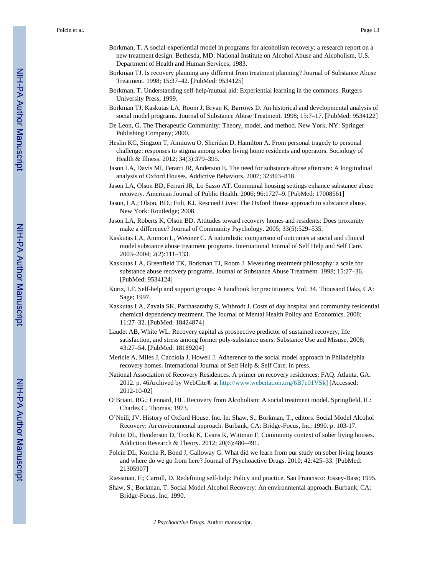- Borkman, T. A social-experiential model in programs for alcoholism recovery: a research report on a new treatment design. Bethesda, MD: National Institute on Alcohol Abuse and Alcoholism, U.S. Department of Health and Human Services; 1983.
- Borkman TJ. Is recovery planning any different from treatment planning? Journal of Substance Abuse Treatment. 1998; 15:37–42. [PubMed: 9534125]
- Borkman, T. Understanding self-help/mutual aid: Experiential learning in the commons. Rutgers University Press; 1999.
- Borkman TJ, Kaskutas LA, Room J, Bryan K, Barrows D. An historical and developmental analysis of social model programs. Journal of Substance Abuse Treatment. 1998; 15:7–17. [PubMed: 9534122]
- De Leon, G. The Therapeutic Community: Theory, model, and method. New York, NY: Springer Publishing Company; 2000.
- Heslin KC, Singzon T, Aimiuwu O, Sheridan D, Hamilton A. From personal tragedy to personal challenge: responses to stigma among sober living home residents and operators. Sociology of Health & Illness. 2012; 34(3):379–395.
- Jason LA, Davis MI, Ferarri JR, Anderson E. The need for substance abuse aftercare: A longitudinal analysis of Oxford Houses. Addictive Behaviors. 2007; 32:803–818.
- Jason LA, Olson BD, Ferrari JR, Lo Sasso AT. Communal housing settings enhance substance abuse recovery. American Journal of Public Health. 2006; 96:1727–9. [PubMed: 17008561]
- Jason, LA.; Olson, BD.; Foli, KJ. Rescued Lives: The Oxford House approach to substance abuse. New York: Routledge; 2008.
- Jason LA, Roberts K, Olson BD. Attitudes toward recovery homes and residents: Does proximity make a difference? Journal of Community Psychology. 2005; 33(5):529–535.
- Kaskutas LA, Ammon L, Wesiner C. A naturalistic comparison of outcomes at social and clinical model substance abuse treatment programs. International Journal of Self Help and Self Care. 2003–2004; 2(2):111–133.
- Kaskutas LA, Greenfield TK, Borkman TJ, Room J. Measuring treatment philosophy: a scale for substance abuse recovery programs. Journal of Substance Abuse Treatment. 1998; 15:27–36. [PubMed: 9534124]
- Kurtz, LF. Self-help and support groups: A handbook for practitioners. Vol. 34. Thousand Oaks, CA: Sage; 1997.
- Kaskutas LA, Zavala SK, Parthasarathy S, Witbrodt J. Costs of day hospital and community residential chemical dependency treatment. The Journal of Mental Health Policy and Economics. 2008; 11:27–32. [PubMed: 18424874]
- Laudet AB, White WL. Recovery capital as prospective predictor of sustained recovery, life satisfaction, and stress among former poly-substance users. Substance Use and Misuse. 2008; 43:27–54. [PubMed: 18189204]
- Mericle A, Miles J, Cacciola J, Howell J. Adherence to the social model approach in Philadelphia recovery homes. International Journal of Self Help & Self Care. in press.
- National Association of Recovery Residences. A primer on recovery residences: FAQ. Atlanta, GA: 2012. p. 46Archived by WebCite® at<http://www.webcitation.org/6B7e01VSk>] [Accessed: 2012-10-02]
- O'Briant, RG.; Lennard, HL. Recovery from Alcoholism: A social treatment model. Springfield, IL: Charles C. Thomas; 1973.
- O'Neill, JV. History of Oxford House, Inc. In: Shaw, S.; Borkman, T., editors. Social Model Alcohol Recovery: An environmental approach. Burbank, CA: Bridge-Focus, Inc; 1990. p. 103-17.
- Polcin DL, Henderson D, Trocki K, Evans K, Wittman F. Community context of sober living houses. Addiction Research & Theory. 2012; 20(6):480–491.
- Polcin DL, Korcha R, Bond J, Galloway G. What did we learn from our study on sober living houses and where do we go from here? Journal of Psychoactive Drugs. 2010; 42:425–33. [PubMed: 21305907]
- Riessman, F.; Carroll, D. Redefining self-help: Policy and practice. San Francisco: Jossey-Bass; 1995.
- Shaw, S.; Borkman, T. Social Model Alcohol Recovery: An environmental approach. Burbank, CA: Bridge-Focus, Inc; 1990.

*J Psychoactive Drugs*. Author manuscript.